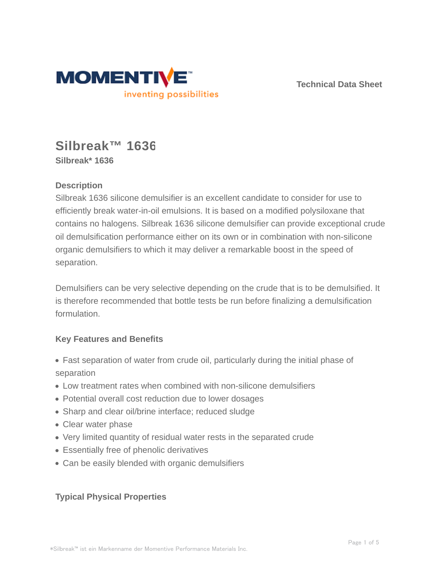

**Technical Data Sheet**

# **Silbreak™ 1636 Silbreak\* 1636**

# **Description**

Silbreak 1636 silicone demulsifier is an excellent candidate to consider for use to efficiently break water-in-oil emulsions. It is based on a modified polysiloxane that contains no halogens. Silbreak 1636 silicone demulsifier can provide exceptional crude oil demulsification performance either on its own or in combination with non-silicone organic demulsifiers to which it may deliver a remarkable boost in the speed of separation.

Demulsifiers can be very selective depending on the crude that is to be demulsified. It is therefore recommended that bottle tests be run before finalizing a demulsification formulation.

# **Key Features and Benefits**

- Fast separation of water from crude oil, particularly during the initial phase of separation
- Low treatment rates when combined with non-silicone demulsifiers
- Potential overall cost reduction due to lower dosages
- Sharp and clear oil/brine interface; reduced sludge
- Clear water phase
- Very limited quantity of residual water rests in the separated crude
- Essentially free of phenolic derivatives
- Can be easily blended with organic demulsifiers

# **Typical Physical Properties**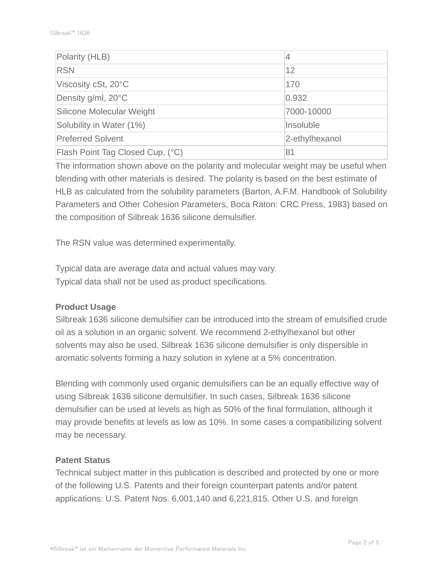| Polarity (HLB)                   | 4              |  |
|----------------------------------|----------------|--|
| <b>RSN</b>                       | 12             |  |
| Viscosity cSt, 20°C              | 170            |  |
| Density g/ml, 20°C               | 0.932          |  |
| Silicone Molecular Weight        | 7000-10000     |  |
| Solubility in Water (1%)         | Insoluble      |  |
| <b>Preferred Solvent</b>         | 2-ethylhexanol |  |
| Flash Point Tag Closed Cup, (°C) | 81             |  |

The information shown above on the polarity and molecular weight may be useful when blending with other materials is desired. The polarity is based on the best estimate of HLB as calculated from the solubility parameters (Barton, A.F.M. Handbook of Solubility Parameters and Other Cohesion Parameters, Boca Raton: CRC Press, 1983) based on the composition of Silbreak 1636 silicone demulsifier.

The RSN value was determined experimentally.

Typical data are average data and actual values may vary. Typical data shall not be used as product specifications.

## **Product Usage**

Silbreak 1636 silicone demulsifier can be introduced into the stream of emulsified crude oil as a solution in an organic solvent. We recommend 2-ethylhexanol but other solvents may also be used. Silbreak 1636 silicone demulsifier is only dispersible in aromatic solvents forming a hazy solution in xylene at a 5% concentration.

Blending with commonly used organic demulsifiers can be an equally effective way of using Silbreak 1636 silicone demulsifier. In such cases, Silbreak 1636 silicone demulsifier can be used at levels as high as 50% of the final formulation, although it may provide benefits at levels as low as 10%. In some cases a compatibilizing solvent may be necessary.

#### **Patent Status**

Technical subject matter in this publication is described and protected by one or more of the following U.S. Patents and their foreign counterpart patents and/or patent applications: U.S. Patent Nos. 6,001,140 and 6,221,815. Other U.S. and foreign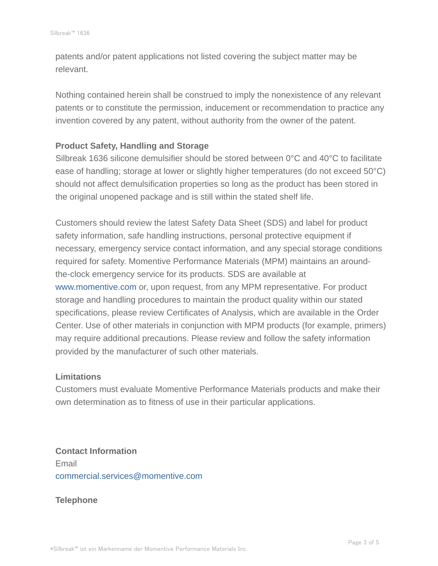patents and/or patent applications not listed covering the subject matter may be relevant.

Nothing contained herein shall be construed to imply the nonexistence of any relevant patents or to constitute the permission, inducement or recommendation to practice any invention covered by any patent, without authority from the owner of the patent.

## **Product Safety, Handling and Storage**

Silbreak 1636 silicone demulsifier should be stored between 0°C and 40°C to facilitate ease of handling; storage at lower or slightly higher temperatures (do not exceed 50°C) should not affect demulsification properties so long as the product has been stored in the original unopened package and is still within the stated shelf life.

Customers should review the latest Safety Data Sheet (SDS) and label for product safety information, safe handling instructions, personal protective equipment if necessary, emergency service contact information, and any special storage conditions required for safety. Momentive Performance Materials (MPM) maintains an aroundthe-clock emergency service for its products. SDS are available at www.momentive.com or, upon request, from any MPM representative. For product storage and handling procedures to maintain the product quality within our stated specifications, please review Certificates of Analysis, which are available in the Order Center. Use of other materials in conjunction with MPM products (for example, primers) may require additional precautions. Please review and follow the safety information provided by the manufacturer of such other materials.

## **Limitations**

Customers must evaluate Momentive Performance Materials products and make their own determination as to fitness of use in their particular applications.

**Contact Information** Email commercial.services@momentive.com

## **Telephone**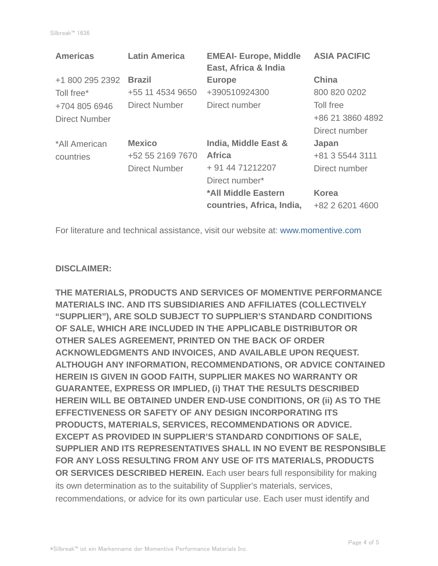| <b>Latin America</b> | <b>EMEAI- Europe, Middle</b><br>East, Africa & India | <b>ASIA PACIFIC</b> |
|----------------------|------------------------------------------------------|---------------------|
| <b>Brazil</b>        | <b>Europe</b>                                        | <b>China</b>        |
| +55 11 4534 9650     | +390510924300                                        | 800 820 0202        |
| Direct Number        | Direct number                                        | Toll free           |
|                      |                                                      | +86 21 3860 4892    |
|                      |                                                      | Direct number       |
| <b>Mexico</b>        | India, Middle East &                                 | Japan               |
| +52 55 2169 7670     | <b>Africa</b>                                        | +81 3 5544 3111     |
| <b>Direct Number</b> | + 91 44 71212207                                     | Direct number       |
|                      | Direct number*                                       |                     |
|                      | *All Middle Eastern                                  | Korea               |
|                      | countries, Africa, India,                            | +82 2 6201 4600     |
|                      |                                                      |                     |

For literature and technical assistance, visit our website at: www.momentive.com

#### **DISCLAIMER:**

**THE MATERIALS, PRODUCTS AND SERVICES OF MOMENTIVE PERFORMANCE MATERIALS INC. AND ITS SUBSIDIARIES AND AFFILIATES (COLLECTIVELY "SUPPLIER"), ARE SOLD SUBJECT TO SUPPLIER'S STANDARD CONDITIONS OF SALE, WHICH ARE INCLUDED IN THE APPLICABLE DISTRIBUTOR OR OTHER SALES AGREEMENT, PRINTED ON THE BACK OF ORDER ACKNOWLEDGMENTS AND INVOICES, AND AVAILABLE UPON REQUEST. ALTHOUGH ANY INFORMATION, RECOMMENDATIONS, OR ADVICE CONTAINED HEREIN IS GIVEN IN GOOD FAITH, SUPPLIER MAKES NO WARRANTY OR GUARANTEE, EXPRESS OR IMPLIED, (i) THAT THE RESULTS DESCRIBED HEREIN WILL BE OBTAINED UNDER END-USE CONDITIONS, OR (ii) AS TO THE EFFECTIVENESS OR SAFETY OF ANY DESIGN INCORPORATING ITS PRODUCTS, MATERIALS, SERVICES, RECOMMENDATIONS OR ADVICE. EXCEPT AS PROVIDED IN SUPPLIER'S STANDARD CONDITIONS OF SALE, SUPPLIER AND ITS REPRESENTATIVES SHALL IN NO EVENT BE RESPONSIBLE FOR ANY LOSS RESULTING FROM ANY USE OF ITS MATERIALS, PRODUCTS OR SERVICES DESCRIBED HEREIN.** Each user bears full responsibility for making its own determination as to the suitability of Supplier's materials, services, recommendations, or advice for its own particular use. Each user must identify and